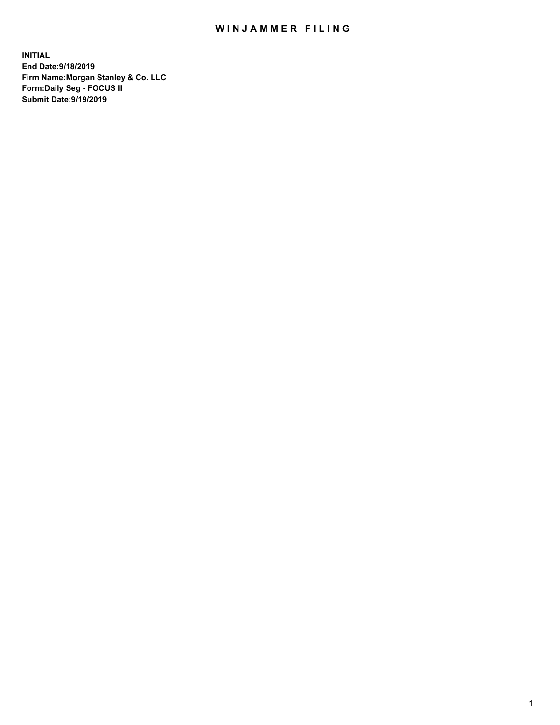## WIN JAMMER FILING

**INITIAL End Date:9/18/2019 Firm Name:Morgan Stanley & Co. LLC Form:Daily Seg - FOCUS II Submit Date:9/19/2019**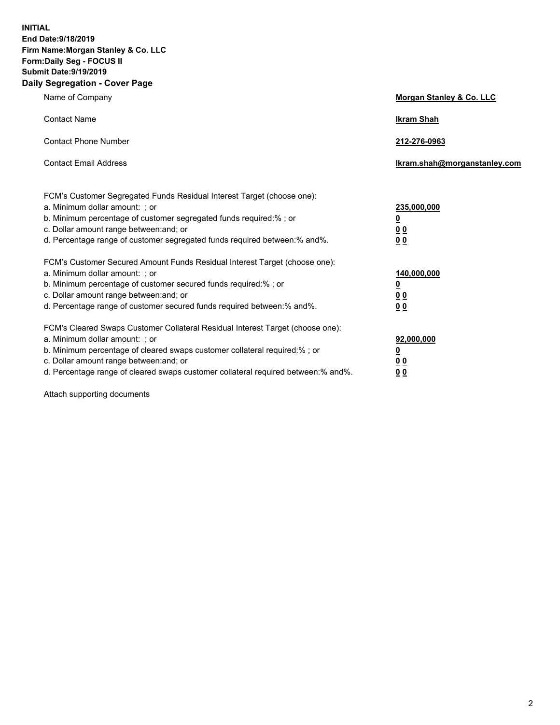**INITIAL End Date:9/18/2019 Firm Name:Morgan Stanley & Co. LLC Form:Daily Seg - FOCUS II Submit Date:9/19/2019 Daily Segregation - Cover Page**

| Name of Company                                                                   | Morgan Stanley & Co. LLC     |
|-----------------------------------------------------------------------------------|------------------------------|
| <b>Contact Name</b>                                                               | <b>Ikram Shah</b>            |
| <b>Contact Phone Number</b>                                                       | 212-276-0963                 |
| <b>Contact Email Address</b>                                                      | Ikram.shah@morganstanley.com |
| FCM's Customer Segregated Funds Residual Interest Target (choose one):            |                              |
| a. Minimum dollar amount: ; or                                                    | 235,000,000                  |
| b. Minimum percentage of customer segregated funds required:% ; or                | <u>0</u>                     |
| c. Dollar amount range between: and; or                                           | <u>0 0</u>                   |
| d. Percentage range of customer segregated funds required between: % and %.       | 00                           |
| FCM's Customer Secured Amount Funds Residual Interest Target (choose one):        |                              |
| a. Minimum dollar amount: ; or                                                    | 140,000,000                  |
| b. Minimum percentage of customer secured funds required:%; or                    | <u>0</u>                     |
| c. Dollar amount range between: and; or                                           | 0 <sub>0</sub>               |
| d. Percentage range of customer secured funds required between:% and%.            | 0 <sub>0</sub>               |
| FCM's Cleared Swaps Customer Collateral Residual Interest Target (choose one):    |                              |
| a. Minimum dollar amount: ; or                                                    | 92,000,000                   |
| b. Minimum percentage of cleared swaps customer collateral required:% ; or        | <u>0</u>                     |
| c. Dollar amount range between: and; or                                           | 0 Q                          |
| d. Percentage range of cleared swaps customer collateral required between:% and%. | 00                           |

Attach supporting documents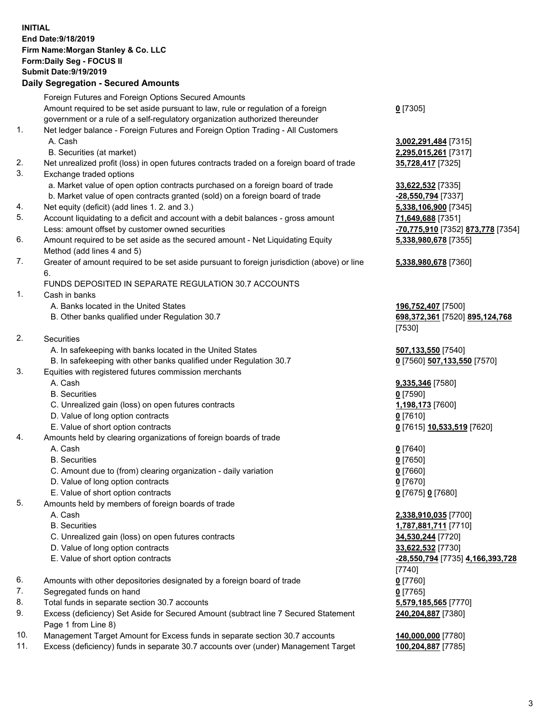## **INITIAL End Date:9/18/2019 Firm Name:Morgan Stanley & Co. LLC Form:Daily Seg - FOCUS II Submit Date:9/19/2019**

## **Daily Segregation - Secured Amounts**

|    | Foreign Futures and Foreign Options Secured Amounts                                                                       |                                   |
|----|---------------------------------------------------------------------------------------------------------------------------|-----------------------------------|
|    | Amount required to be set aside pursuant to law, rule or regulation of a foreign                                          | $0$ [7305]                        |
|    | government or a rule of a self-regulatory organization authorized thereunder                                              |                                   |
| 1. | Net ledger balance - Foreign Futures and Foreign Option Trading - All Customers                                           |                                   |
|    | A. Cash                                                                                                                   | 3,002,291,484 [7315]              |
|    | B. Securities (at market)                                                                                                 | 2,295,015,261 [7317]              |
| 2. | Net unrealized profit (loss) in open futures contracts traded on a foreign board of trade                                 | 35,728,417 [7325]                 |
| 3. | Exchange traded options                                                                                                   |                                   |
|    | a. Market value of open option contracts purchased on a foreign board of trade                                            | 33,622,532 [7335]                 |
|    | b. Market value of open contracts granted (sold) on a foreign board of trade                                              | -28,550,794 [7337]                |
| 4. | Net equity (deficit) (add lines 1.2. and 3.)                                                                              | 5,338,106,900 [7345]              |
| 5. | Account liquidating to a deficit and account with a debit balances - gross amount                                         | 71,649,688 [7351]                 |
|    | Less: amount offset by customer owned securities                                                                          | -70,775,910 [7352] 873,778 [7354] |
| 6. | Amount required to be set aside as the secured amount - Net Liquidating Equity                                            | 5,338,980,678 [7355]              |
| 7. | Method (add lines 4 and 5)<br>Greater of amount required to be set aside pursuant to foreign jurisdiction (above) or line |                                   |
|    | 6.                                                                                                                        | 5,338,980,678 [7360]              |
|    | FUNDS DEPOSITED IN SEPARATE REGULATION 30.7 ACCOUNTS                                                                      |                                   |
| 1. | Cash in banks                                                                                                             |                                   |
|    | A. Banks located in the United States                                                                                     | 196,752,407 [7500]                |
|    | B. Other banks qualified under Regulation 30.7                                                                            | 698,372,361 [7520] 895,124,768    |
|    |                                                                                                                           | $[7530]$                          |
| 2. | Securities                                                                                                                |                                   |
|    | A. In safekeeping with banks located in the United States                                                                 | 507,133,550 [7540]                |
|    | B. In safekeeping with other banks qualified under Regulation 30.7                                                        | 0 [7560] 507,133,550 [7570]       |
| 3. | Equities with registered futures commission merchants                                                                     |                                   |
|    | A. Cash                                                                                                                   | 9,335,346 [7580]                  |
|    | <b>B.</b> Securities                                                                                                      | $0$ [7590]                        |
|    | C. Unrealized gain (loss) on open futures contracts                                                                       | 1,198,173 [7600]                  |
|    | D. Value of long option contracts                                                                                         | $0$ [7610]                        |
|    | E. Value of short option contracts                                                                                        | 0 [7615] 10,533,519 [7620]        |
| 4. | Amounts held by clearing organizations of foreign boards of trade                                                         |                                   |
|    | A. Cash                                                                                                                   | $0$ [7640]                        |
|    | <b>B.</b> Securities                                                                                                      | $0$ [7650]                        |
|    | C. Amount due to (from) clearing organization - daily variation                                                           | $0$ [7660]                        |
|    | D. Value of long option contracts                                                                                         | $0$ [7670]                        |
|    | E. Value of short option contracts                                                                                        | 0 [7675] 0 [7680]                 |
| 5. | Amounts held by members of foreign boards of trade                                                                        |                                   |
|    | A. Cash                                                                                                                   | 2,338,910,035 [7700]              |
|    | <b>B.</b> Securities                                                                                                      | 1,787,881,711 [7710]              |
|    | C. Unrealized gain (loss) on open futures contracts                                                                       | 34,530,244 [7720]                 |
|    | D. Value of long option contracts                                                                                         | 33,622,532 [7730]                 |
|    | E. Value of short option contracts                                                                                        | -28,550,794 [7735] 4,166,393,728  |
|    |                                                                                                                           | [7740]                            |
| 6. | Amounts with other depositories designated by a foreign board of trade                                                    | $0$ [7760]                        |
| 7. | Segregated funds on hand                                                                                                  | $0$ [7765]                        |
| 8. | Total funds in separate section 30.7 accounts                                                                             | 5,579,185,565 [7770]              |
| 9. | Excess (deficiency) Set Aside for Secured Amount (subtract line 7 Secured Statement                                       | 240,204,887 [7380]                |
|    | Page 1 from Line 8)                                                                                                       |                                   |
|    |                                                                                                                           |                                   |

- 10. Management Target Amount for Excess funds in separate section 30.7 accounts **140,000,000** [7780]
- 11. Excess (deficiency) funds in separate 30.7 accounts over (under) Management Target **100,204,887** [7785]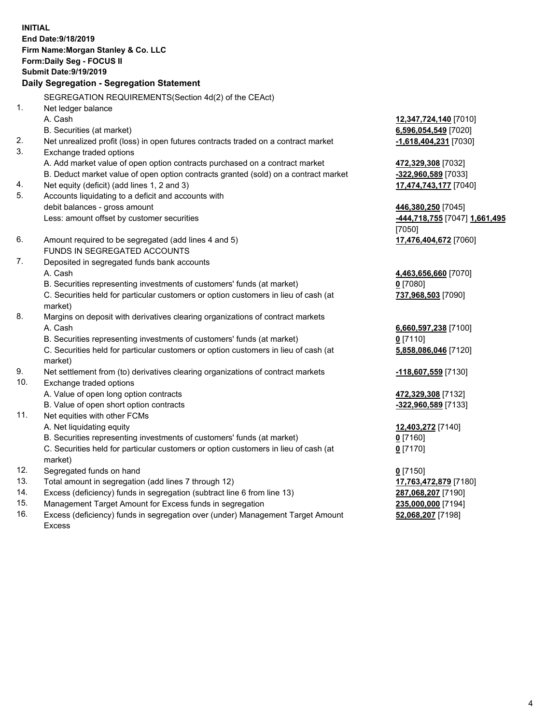**INITIAL End Date:9/18/2019 Firm Name:Morgan Stanley & Co. LLC Form:Daily Seg - FOCUS II Submit Date:9/19/2019 Daily Segregation - Segregation Statement** SEGREGATION REQUIREMENTS(Section 4d(2) of the CEAct) 1. Net ledger balance A. Cash **12,347,724,140** [7010] B. Securities (at market) **6,596,054,549** [7020] 2. Net unrealized profit (loss) in open futures contracts traded on a contract market **-1,618,404,231** [7030] 3. Exchange traded options A. Add market value of open option contracts purchased on a contract market **472,329,308** [7032] B. Deduct market value of open option contracts granted (sold) on a contract market **-322,960,589** [7033] 4. Net equity (deficit) (add lines 1, 2 and 3) **17,474,743,177** [7040] 5. Accounts liquidating to a deficit and accounts with debit balances - gross amount **446,380,250** [7045] Less: amount offset by customer securities **-444,718,755** [7047] **1,661,495** [7050] 6. Amount required to be segregated (add lines 4 and 5) **17,476,404,672** [7060] FUNDS IN SEGREGATED ACCOUNTS 7. Deposited in segregated funds bank accounts A. Cash **4,463,656,660** [7070] B. Securities representing investments of customers' funds (at market) **0** [7080] C. Securities held for particular customers or option customers in lieu of cash (at market) **737,968,503** [7090] 8. Margins on deposit with derivatives clearing organizations of contract markets A. Cash **6,660,597,238** [7100] B. Securities representing investments of customers' funds (at market) **0** [7110] C. Securities held for particular customers or option customers in lieu of cash (at market) **5,858,086,046** [7120] 9. Net settlement from (to) derivatives clearing organizations of contract markets **-118,607,559** [7130] 10. Exchange traded options A. Value of open long option contracts **472,329,308** [7132] B. Value of open short option contracts **-322,960,589** [7133] 11. Net equities with other FCMs A. Net liquidating equity **12,403,272** [7140] B. Securities representing investments of customers' funds (at market) **0** [7160] C. Securities held for particular customers or option customers in lieu of cash (at market) **0** [7170] 12. Segregated funds on hand **0** [7150] 13. Total amount in segregation (add lines 7 through 12) **17,763,472,879** [7180] 14. Excess (deficiency) funds in segregation (subtract line 6 from line 13) **287,068,207** [7190]

- 15. Management Target Amount for Excess funds in segregation **235,000,000** [7194]
- 16. Excess (deficiency) funds in segregation over (under) Management Target Amount Excess

**52,068,207** [7198]